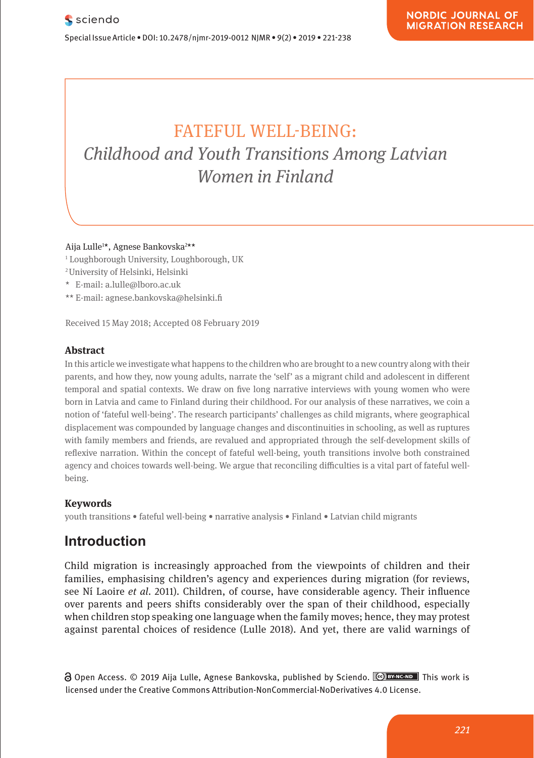# FATEFUL WELL-BEING: **Childhood and Youth Transitions Among Latvian** *Women in Finland Momon* i wonen am neuro

**Pharmacological and Mental Self-transformation in Ethic** 

Aija Lulle1 \*, Agnese Bankovska2 \*\* **Comparison**

- ' Loughborough University, Loughborough, UK<br>Pharmacologische und mentale Selbstveränderung im Selbstveränderung im Selbstveränderung im Selbstveränderung
- 2 University of Helsinki, Helsinki
- ethischen verschieden E-mail: a.lulle@lboro.ac.uk
- \*\* E-mail: agnese.bankovska@helsinki.fi

Received 15 May 2018; Accepted 08 February 2019

#### **Abstract Absorption**  $\mathbf{A}$  is a soon of the action of the aesthetic formation of  $\mathbf{A}$  and its as soon of  $\mathbf{A}$  and its as soon of  $\mathbf{A}$  are soon of  $\mathbf{A}$  and its as soon of  $\mathbf{A}$  and its as soon of  $\mathbf{A}$  and

In this article we investigate what happens to the children who are brought to a new country along with their parents, and how they, now young adults, narrate the 'self' as a migrant child and adolescent in different temporal and spatial contexts. We draw on five long narrative interviews with young women who were born in Latvia and came to Finland during their childhood. For our analysis of these narratives, we coin a born in Latvia and came to rimand during their childhood. For our analysis or these harratives, we com a<br>notion of 'fateful well-being'. The research participants' challenges as child migrants, where geographical displacement was compounded by language changes and discontinuities in schooling, as well as ruptures with family members and friends, are revalued and appropriated through the self-development skills of reflexive narration. Within the concept of fateful well-being, youth transitions involve both constrained agency and choices towards well-being. We argue that reconciling difficulties is a vital part of fateful wellbeing.

#### **Keywords**

Journal xyz 2017; 1 (2): 122–135

**Keywords**<br>youth transitions • fateful well-being • narrative analysis • Finland • Latvian child migrants

# **Introduction** also includes the period between the entry into force and period between the entry into force and

Child migration is increasingly approached from the viewpoints of children and their families, emphasising children's agency and experiences during migration (for reviews, see Ní Laoire *et al*. 2011). Children, of course, have considerable agency. Their influence over parents and peers shifts considerably over the span of their childhood, especially when children stop speaking one language when the family moves; hence, they may protest against parental choices of residence (Lulle 2018). And yet, there are valid warnings of t inigration is increasingly app.

Open Access. © 2019 Aija Lulle, Agnese Bankovska, published by Sciendo. **Ce Braxeno** This work is licensed under the Creative Commons Attribution-NonCommercial-NoDerivatives 4.0 License. licensed under the Creative Commons Attribution-NonCommercial-NoDerivatives 4.0 License.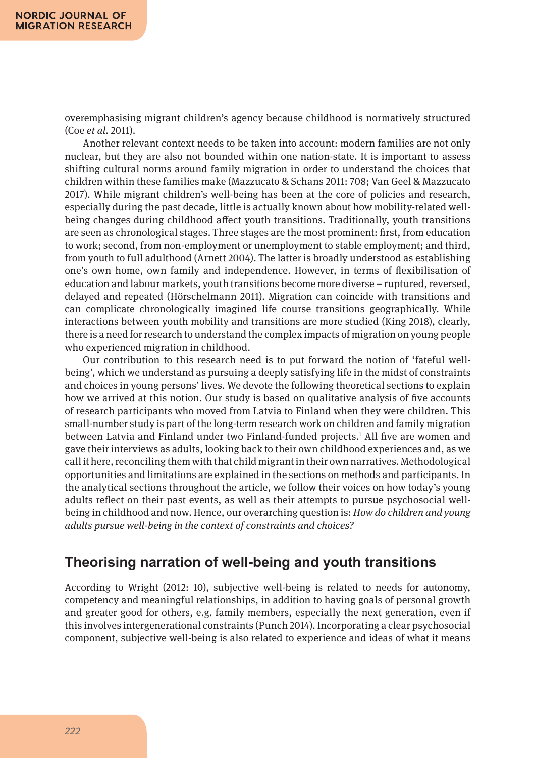overemphasising migrant children's agency because childhood is normatively structured (Coe *et al*. 2011).

Another relevant context needs to be taken into account: modern families are not only nuclear, but they are also not bounded within one nation-state. It is important to assess shifting cultural norms around family migration in order to understand the choices that children within these families make (Mazzucato & Schans 2011: 708; Van Geel & Mazzucato 2017). While migrant children's well-being has been at the core of policies and research, especially during the past decade, little is actually known about how mobility-related wellbeing changes during childhood affect youth transitions. Traditionally, youth transitions are seen as chronological stages. Three stages are the most prominent: first, from education to work; second, from non-employment or unemployment to stable employment; and third, from youth to full adulthood (Arnett 2004). The latter is broadly understood as establishing one's own home, own family and independence. However, in terms of flexibilisation of education and labour markets, youth transitions become more diverse – ruptured, reversed, delayed and repeated (Hörschelmann 2011). Migration can coincide with transitions and can complicate chronologically imagined life course transitions geographically. While interactions between youth mobility and transitions are more studied (King 2018), clearly, there is a need for research to understand the complex impacts of migration on young people who experienced migration in childhood.

Our contribution to this research need is to put forward the notion of 'fateful wellbeing', which we understand as pursuing a deeply satisfying life in the midst of constraints and choices in young persons' lives. We devote the following theoretical sections to explain how we arrived at this notion. Our study is based on qualitative analysis of five accounts of research participants who moved from Latvia to Finland when they were children. This small-number study is part of the long-term research work on children and family migration between Latvia and Finland under two Finland-funded projects.<sup>1</sup> All five are women and gave their interviews as adults, looking back to their own childhood experiences and, as we call it here, reconciling them with that child migrant in their own narratives. Methodological opportunities and limitations are explained in the sections on methods and participants. In the analytical sections throughout the article, we follow their voices on how today's young adults reflect on their past events, as well as their attempts to pursue psychosocial wellbeing in childhood and now. Hence, our overarching question is: *How do children and young adults pursue well-being in the context of constraints and choices?*

### **Theorising narration of well-being and youth transitions**

According to Wright (2012: 10), subjective well-being is related to needs for autonomy, competency and meaningful relationships, in addition to having goals of personal growth and greater good for others, e.g. family members, especially the next generation, even if this involves intergenerational constraints (Punch 2014). Incorporating a clear psychosocial component, subjective well-being is also related to experience and ideas of what it means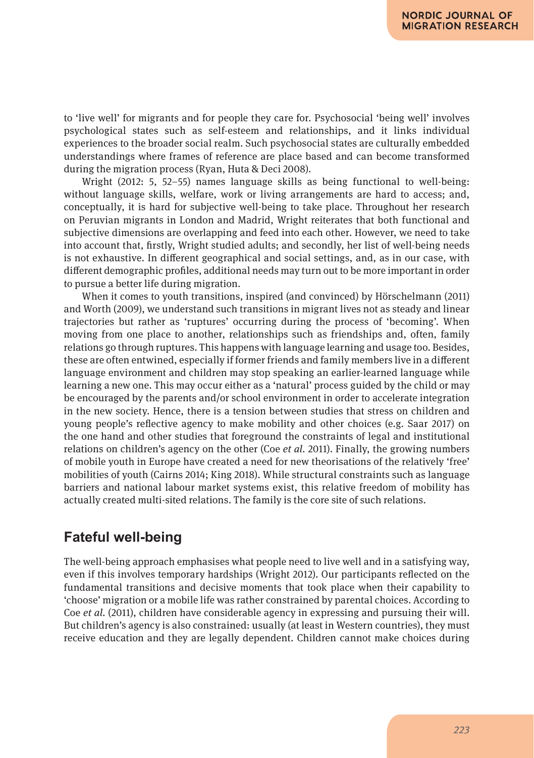to 'live well' for migrants and for people they care for. Psychosocial 'being well' involves psychological states such as self-esteem and relationships, and it links individual experiences to the broader social realm. Such psychosocial states are culturally embedded understandings where frames of reference are place based and can become transformed during the migration process (Ryan, Huta & Deci 2008).

Wright (2012: 5, 52–55) names language skills as being functional to well-being: without language skills, welfare, work or living arrangements are hard to access; and, conceptually, it is hard for subjective well-being to take place. Throughout her research on Peruvian migrants in London and Madrid, Wright reiterates that both functional and subjective dimensions are overlapping and feed into each other. However, we need to take into account that, firstly, Wright studied adults; and secondly, her list of well-being needs is not exhaustive. In different geographical and social settings, and, as in our case, with different demographic profiles, additional needs may turn out to be more important in order to pursue a better life during migration.

When it comes to youth transitions, inspired (and convinced) by Hörschelmann (2011) and Worth (2009), we understand such transitions in migrant lives not as steady and linear trajectories but rather as 'ruptures' occurring during the process of 'becoming'. When moving from one place to another, relationships such as friendships and, often, family relations go through ruptures. This happens with language learning and usage too. Besides, these are often entwined, especially if former friends and family members live in a different language environment and children may stop speaking an earlier-learned language while learning a new one. This may occur either as a 'natural' process guided by the child or may be encouraged by the parents and/or school environment in order to accelerate integration in the new society. Hence, there is a tension between studies that stress on children and young people's reflective agency to make mobility and other choices (e.g. Saar 2017) on the one hand and other studies that foreground the constraints of legal and institutional relations on children's agency on the other (Coe *et al*. 2011). Finally, the growing numbers of mobile youth in Europe have created a need for new theorisations of the relatively 'free' mobilities of youth (Cairns 2014; King 2018). While structural constraints such as language barriers and national labour market systems exist, this relative freedom of mobility has actually created multi-sited relations. The family is the core site of such relations.

### **Fateful well-being**

The well-being approach emphasises what people need to live well and in a satisfying way, even if this involves temporary hardships (Wright 2012). Our participants reflected on the fundamental transitions and decisive moments that took place when their capability to 'choose' migration or a mobile life was rather constrained by parental choices. According to Coe *et al*. (2011), children have considerable agency in expressing and pursuing their will. But children's agency is also constrained: usually (at least in Western countries), they must receive education and they are legally dependent. Children cannot make choices during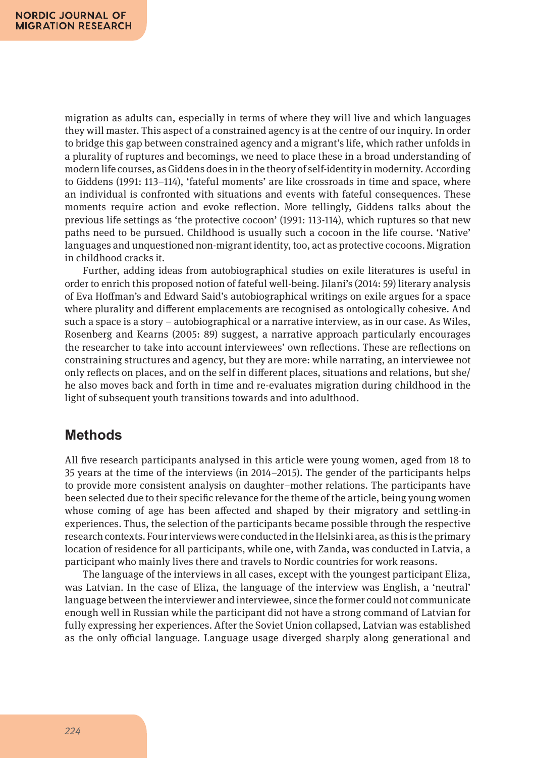migration as adults can, especially in terms of where they will live and which languages they will master. This aspect of a constrained agency is at the centre of our inquiry. In order to bridge this gap between constrained agency and a migrant's life, which rather unfolds in a plurality of ruptures and becomings, we need to place these in a broad understanding of modern life courses, as Giddens does in in the theory of self-identity in modernity. According to Giddens (1991: 113–114), 'fateful moments' are like crossroads in time and space, where an individual is confronted with situations and events with fateful consequences. These moments require action and evoke reflection. More tellingly, Giddens talks about the previous life settings as 'the protective cocoon' (1991: 113-114), which ruptures so that new paths need to be pursued. Childhood is usually such a cocoon in the life course. 'Native' languages and unquestioned non-migrant identity, too, act as protective cocoons. Migration in childhood cracks it.

Further, adding ideas from autobiographical studies on exile literatures is useful in order to enrich this proposed notion of fateful well-being. Jilani's (2014: 59) literary analysis of Eva Hoffman's and Edward Said's autobiographical writings on exile argues for a space where plurality and different emplacements are recognised as ontologically cohesive. And such a space is a story – autobiographical or a narrative interview, as in our case. As Wiles, Rosenberg and Kearns (2005: 89) suggest, a narrative approach particularly encourages the researcher to take into account interviewees' own reflections. These are reflections on constraining structures and agency, but they are more: while narrating, an interviewee not only reflects on places, and on the self in different places, situations and relations, but she/ he also moves back and forth in time and re-evaluates migration during childhood in the light of subsequent youth transitions towards and into adulthood.

### **Methods**

All five research participants analysed in this article were young women, aged from 18 to 35 years at the time of the interviews (in 2014–2015). The gender of the participants helps to provide more consistent analysis on daughter–mother relations. The participants have been selected due to their specific relevance for the theme of the article, being young women whose coming of age has been affected and shaped by their migratory and settling-in experiences. Thus, the selection of the participants became possible through the respective research contexts. Four interviews were conducted in the Helsinki area, as this is the primary location of residence for all participants, while one, with Zanda, was conducted in Latvia, a participant who mainly lives there and travels to Nordic countries for work reasons.

The language of the interviews in all cases, except with the youngest participant Eliza, was Latvian. In the case of Eliza, the language of the interview was English, a 'neutral' language between the interviewer and interviewee, since the former could not communicate enough well in Russian while the participant did not have a strong command of Latvian for fully expressing her experiences. After the Soviet Union collapsed, Latvian was established as the only official language. Language usage diverged sharply along generational and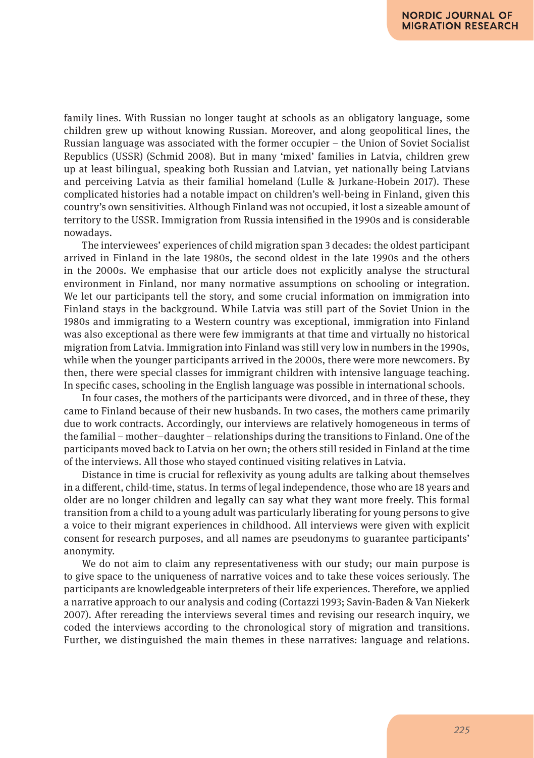family lines. With Russian no longer taught at schools as an obligatory language, some children grew up without knowing Russian. Moreover, and along geopolitical lines, the Russian language was associated with the former occupier – the Union of Soviet Socialist Republics (USSR) (Schmid 2008). But in many 'mixed' families in Latvia, children grew up at least bilingual, speaking both Russian and Latvian, yet nationally being Latvians and perceiving Latvia as their familial homeland (Lulle & Jurkane-Hobein 2017). These complicated histories had a notable impact on children's well-being in Finland, given this country's own sensitivities. Although Finland was not occupied, it lost a sizeable amount of territory to the USSR. Immigration from Russia intensified in the 1990s and is considerable nowadays.

The interviewees' experiences of child migration span 3 decades: the oldest participant arrived in Finland in the late 1980s, the second oldest in the late 1990s and the others in the 2000s. We emphasise that our article does not explicitly analyse the structural environment in Finland, nor many normative assumptions on schooling or integration. We let our participants tell the story, and some crucial information on immigration into Finland stays in the background. While Latvia was still part of the Soviet Union in the 1980s and immigrating to a Western country was exceptional, immigration into Finland was also exceptional as there were few immigrants at that time and virtually no historical migration from Latvia. Immigration into Finland was still very low in numbers in the 1990s, while when the younger participants arrived in the 2000s, there were more newcomers. By then, there were special classes for immigrant children with intensive language teaching. In specific cases, schooling in the English language was possible in international schools.

In four cases, the mothers of the participants were divorced, and in three of these, they came to Finland because of their new husbands. In two cases, the mothers came primarily due to work contracts. Accordingly, our interviews are relatively homogeneous in terms of the familial – mother–daughter – relationships during the transitions to Finland. One of the participants moved back to Latvia on her own; the others still resided in Finland at the time of the interviews. All those who stayed continued visiting relatives in Latvia.

Distance in time is crucial for reflexivity as young adults are talking about themselves in a different, child-time, status. In terms of legal independence, those who are 18 years and older are no longer children and legally can say what they want more freely. This formal transition from a child to a young adult was particularly liberating for young persons to give a voice to their migrant experiences in childhood. All interviews were given with explicit consent for research purposes, and all names are pseudonyms to guarantee participants' anonymity.

We do not aim to claim any representativeness with our study; our main purpose is to give space to the uniqueness of narrative voices and to take these voices seriously. The participants are knowledgeable interpreters of their life experiences. Therefore, we applied a narrative approach to our analysis and coding (Cortazzi 1993; Savin-Baden & Van Niekerk 2007). After rereading the interviews several times and revising our research inquiry, we coded the interviews according to the chronological story of migration and transitions. Further, we distinguished the main themes in these narratives: language and relations.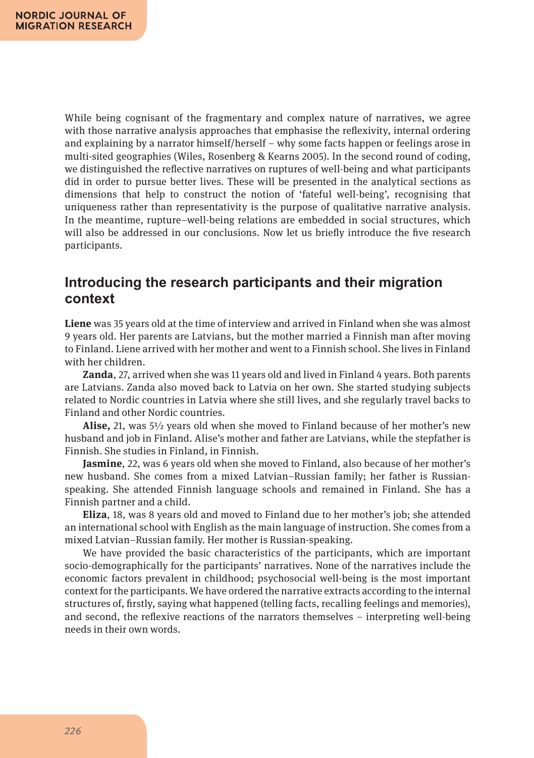While being cognisant of the fragmentary and complex nature of narratives, we agree with those narrative analysis approaches that emphasise the reflexivity, internal ordering and explaining by a narrator himself/herself – why some facts happen or feelings arose in multi-sited geographies (Wiles, Rosenberg & Kearns 2005). In the second round of coding, we distinguished the reflective narratives on ruptures of well-being and what participants did in order to pursue better lives. These will be presented in the analytical sections as dimensions that help to construct the notion of 'fateful well-being', recognising that uniqueness rather than representativity is the purpose of qualitative narrative analysis. In the meantime, rupture–well-being relations are embedded in social structures, which will also be addressed in our conclusions. Now let us briefly introduce the five research participants.

### **Introducing the research participants and their migration context**

**Liene** was 35 years old at the time of interview and arrived in Finland when she was almost 9 years old. Her parents are Latvians, but the mother married a Finnish man after moving to Finland. Liene arrived with her mother and went to a Finnish school. She lives in Finland with her children.

**Zanda**, 27, arrived when she was 11 years old and lived in Finland 4 years. Both parents are Latvians. Zanda also moved back to Latvia on her own. She started studying subjects related to Nordic countries in Latvia where she still lives, and she regularly travel backs to Finland and other Nordic countries.

**Alise,** 21, was 5½ years old when she moved to Finland because of her mother's new husband and job in Finland. Alise's mother and father are Latvians, while the stepfather is Finnish. She studies in Finland, in Finnish.

**Jasmine**, 22, was 6 years old when she moved to Finland, also because of her mother's new husband. She comes from a mixed Latvian–Russian family; her father is Russianspeaking. She attended Finnish language schools and remained in Finland. She has a Finnish partner and a child.

**Eliza**, 18, was 8 years old and moved to Finland due to her mother's job; she attended an international school with English as the main language of instruction. She comes from a mixed Latvian–Russian family. Her mother is Russian-speaking.

We have provided the basic characteristics of the participants, which are important socio-demographically for the participants' narratives. None of the narratives include the economic factors prevalent in childhood; psychosocial well-being is the most important context for the participants. We have ordered the narrative extracts according to the internal structures of, firstly, saying what happened (telling facts, recalling feelings and memories), and second, the reflexive reactions of the narrators themselves – interpreting well-being needs in their own words.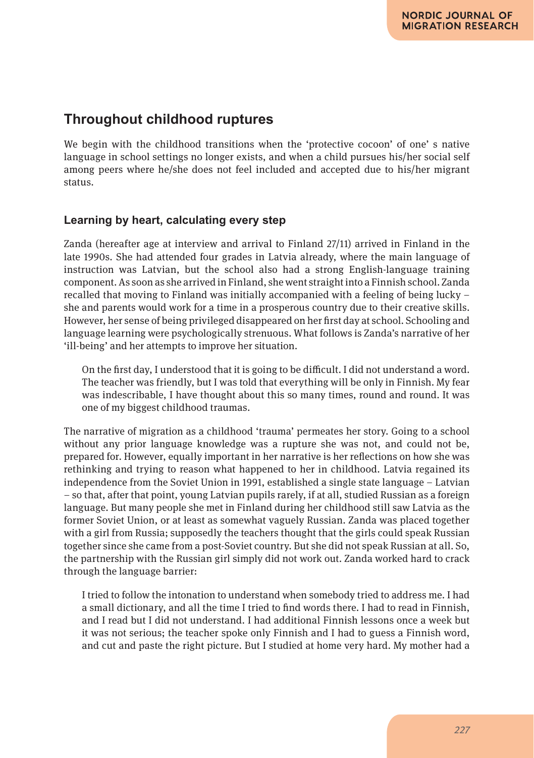### **Throughout childhood ruptures**

We begin with the childhood transitions when the 'protective cocoon' of one' s native language in school settings no longer exists, and when a child pursues his/her social self among peers where he/she does not feel included and accepted due to his/her migrant status.

### **Learning by heart, calculating every step**

Zanda (hereafter age at interview and arrival to Finland 27/11) arrived in Finland in the late 1990s. She had attended four grades in Latvia already, where the main language of instruction was Latvian, but the school also had a strong English-language training component. As soon as she arrived in Finland, she went straight into a Finnish school. Zanda recalled that moving to Finland was initially accompanied with a feeling of being lucky – she and parents would work for a time in a prosperous country due to their creative skills. However, her sense of being privileged disappeared on her first day at school. Schooling and language learning were psychologically strenuous. What follows is Zanda's narrative of her 'ill-being' and her attempts to improve her situation.

On the first day, I understood that it is going to be difficult. I did not understand a word. The teacher was friendly, but I was told that everything will be only in Finnish. My fear was indescribable, I have thought about this so many times, round and round. It was one of my biggest childhood traumas.

The narrative of migration as a childhood 'trauma' permeates her story. Going to a school without any prior language knowledge was a rupture she was not, and could not be, prepared for. However, equally important in her narrative is her reflections on how she was rethinking and trying to reason what happened to her in childhood. Latvia regained its independence from the Soviet Union in 1991, established a single state language – Latvian – so that, after that point, young Latvian pupils rarely, if at all, studied Russian as a foreign language. But many people she met in Finland during her childhood still saw Latvia as the former Soviet Union, or at least as somewhat vaguely Russian. Zanda was placed together with a girl from Russia; supposedly the teachers thought that the girls could speak Russian together since she came from a post-Soviet country. But she did not speak Russian at all. So, the partnership with the Russian girl simply did not work out. Zanda worked hard to crack through the language barrier:

I tried to follow the intonation to understand when somebody tried to address me. I had a small dictionary, and all the time I tried to find words there. I had to read in Finnish, and I read but I did not understand. I had additional Finnish lessons once a week but it was not serious; the teacher spoke only Finnish and I had to guess a Finnish word, and cut and paste the right picture. But I studied at home very hard. My mother had a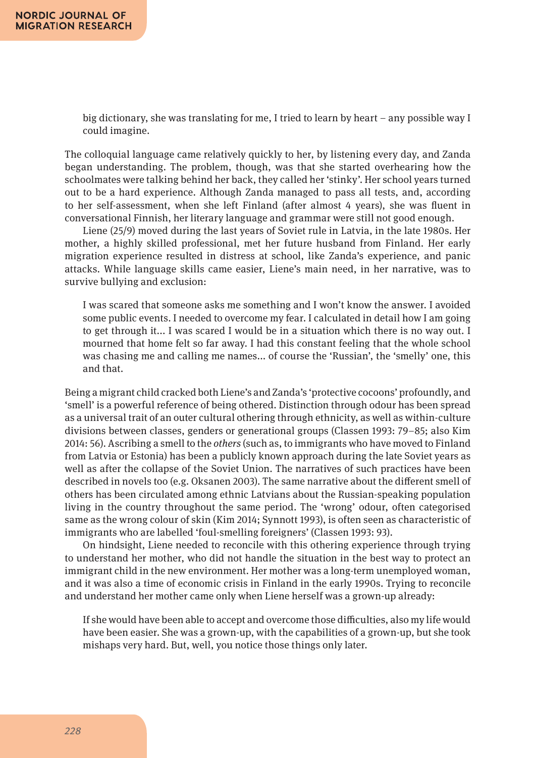big dictionary, she was translating for me, I tried to learn by heart – any possible way I could imagine.

The colloquial language came relatively quickly to her, by listening every day, and Zanda began understanding. The problem, though, was that she started overhearing how the schoolmates were talking behind her back, they called her 'stinky'. Her school years turned out to be a hard experience. Although Zanda managed to pass all tests, and, according to her self-assessment, when she left Finland (after almost 4 years), she was fluent in conversational Finnish, her literary language and grammar were still not good enough.

Liene (25/9) moved during the last years of Soviet rule in Latvia, in the late 1980s. Her mother, a highly skilled professional, met her future husband from Finland. Her early migration experience resulted in distress at school, like Zanda's experience, and panic attacks. While language skills came easier, Liene's main need, in her narrative, was to survive bullying and exclusion:

I was scared that someone asks me something and I won't know the answer. I avoided some public events. I needed to overcome my fear. I calculated in detail how I am going to get through it... I was scared I would be in a situation which there is no way out. I mourned that home felt so far away. I had this constant feeling that the whole school was chasing me and calling me names... of course the 'Russian', the 'smelly' one, this and that.

Being a migrant child cracked both Liene's and Zanda's 'protective cocoons' profoundly, and 'smell' is a powerful reference of being othered. Distinction through odour has been spread as a universal trait of an outer cultural othering through ethnicity, as well as within-culture divisions between classes, genders or generational groups (Classen 1993: 79–85; also Kim 2014: 56). Ascribing a smell to the *others* (such as, to immigrants who have moved to Finland from Latvia or Estonia) has been a publicly known approach during the late Soviet years as well as after the collapse of the Soviet Union. The narratives of such practices have been described in novels too (e.g. Oksanen 2003). The same narrative about the different smell of others has been circulated among ethnic Latvians about the Russian-speaking population living in the country throughout the same period. The 'wrong' odour, often categorised same as the wrong colour of skin (Kim 2014; Synnott 1993), is often seen as characteristic of immigrants who are labelled 'foul-smelling foreigners' (Classen 1993: 93).

On hindsight, Liene needed to reconcile with this othering experience through trying to understand her mother, who did not handle the situation in the best way to protect an immigrant child in the new environment. Her mother was a long-term unemployed woman, and it was also a time of economic crisis in Finland in the early 1990s. Trying to reconcile and understand her mother came only when Liene herself was a grown-up already:

If she would have been able to accept and overcome those difficulties, also my life would have been easier. She was a grown-up, with the capabilities of a grown-up, but she took mishaps very hard. But, well, you notice those things only later.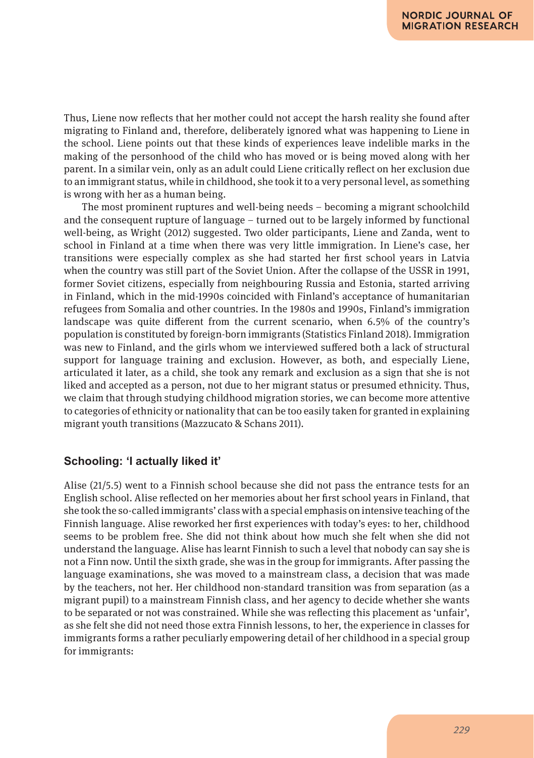Thus, Liene now reflects that her mother could not accept the harsh reality she found after migrating to Finland and, therefore, deliberately ignored what was happening to Liene in the school. Liene points out that these kinds of experiences leave indelible marks in the making of the personhood of the child who has moved or is being moved along with her parent. In a similar vein, only as an adult could Liene critically reflect on her exclusion due to an immigrant status, while in childhood, she took it to a very personal level, as something is wrong with her as a human being.

The most prominent ruptures and well-being needs – becoming a migrant schoolchild and the consequent rupture of language – turned out to be largely informed by functional well-being, as Wright (2012) suggested. Two older participants, Liene and Zanda, went to school in Finland at a time when there was very little immigration. In Liene's case, her transitions were especially complex as she had started her first school years in Latvia when the country was still part of the Soviet Union. After the collapse of the USSR in 1991, former Soviet citizens, especially from neighbouring Russia and Estonia, started arriving in Finland, which in the mid-1990s coincided with Finland's acceptance of humanitarian refugees from Somalia and other countries. In the 1980s and 1990s, Finland's immigration landscape was quite different from the current scenario, when 6.5% of the country's population is constituted by foreign-born immigrants (Statistics Finland 2018). Immigration was new to Finland, and the girls whom we interviewed suffered both a lack of structural support for language training and exclusion. However, as both, and especially Liene, articulated it later, as a child, she took any remark and exclusion as a sign that she is not liked and accepted as a person, not due to her migrant status or presumed ethnicity. Thus, we claim that through studying childhood migration stories, we can become more attentive to categories of ethnicity or nationality that can be too easily taken for granted in explaining migrant youth transitions (Mazzucato & Schans 2011).

### **Schooling: 'I actually liked it'**

Alise (21/5.5) went to a Finnish school because she did not pass the entrance tests for an English school. Alise reflected on her memories about her first school years in Finland, that she took the so-called immigrants' class with a special emphasis on intensive teaching of the Finnish language. Alise reworked her first experiences with today's eyes: to her, childhood seems to be problem free. She did not think about how much she felt when she did not understand the language. Alise has learnt Finnish to such a level that nobody can say she is not a Finn now. Until the sixth grade, she was in the group for immigrants. After passing the language examinations, she was moved to a mainstream class, a decision that was made by the teachers, not her. Her childhood non-standard transition was from separation (as a migrant pupil) to a mainstream Finnish class, and her agency to decide whether she wants to be separated or not was constrained. While she was reflecting this placement as 'unfair', as she felt she did not need those extra Finnish lessons, to her, the experience in classes for immigrants forms a rather peculiarly empowering detail of her childhood in a special group for immigrants: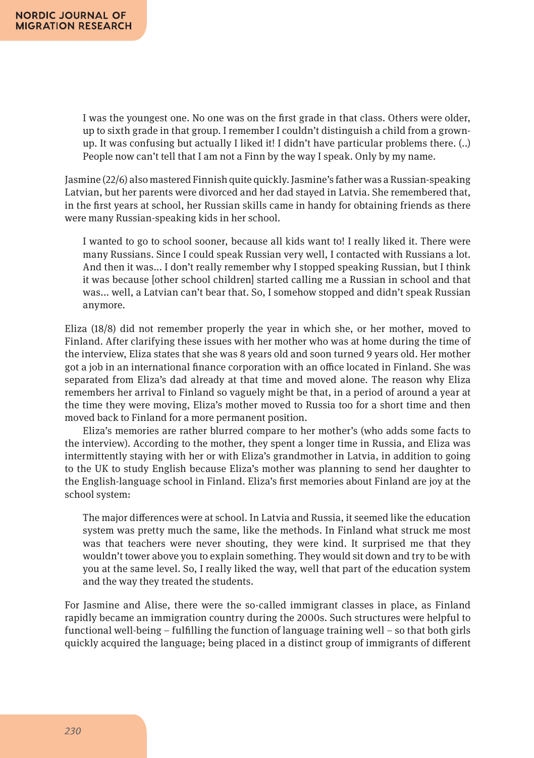I was the youngest one. No one was on the first grade in that class. Others were older, up to sixth grade in that group. I remember I couldn't distinguish a child from a grownup. It was confusing but actually I liked it! I didn't have particular problems there. (..) People now can't tell that I am not a Finn by the way I speak. Only by my name.

Jasmine (22/6) also mastered Finnish quite quickly. Jasmine's father was a Russian-speaking Latvian, but her parents were divorced and her dad stayed in Latvia. She remembered that, in the first years at school, her Russian skills came in handy for obtaining friends as there were many Russian-speaking kids in her school.

I wanted to go to school sooner, because all kids want to! I really liked it. There were many Russians. Since I could speak Russian very well, I contacted with Russians a lot. And then it was... I don't really remember why I stopped speaking Russian, but I think it was because [other school children] started calling me a Russian in school and that was... well, a Latvian can't bear that. So, I somehow stopped and didn't speak Russian anymore.

Eliza (18/8) did not remember properly the year in which she, or her mother, moved to Finland. After clarifying these issues with her mother who was at home during the time of the interview, Eliza states that she was 8 years old and soon turned 9 years old. Her mother got a job in an international finance corporation with an office located in Finland. She was separated from Eliza's dad already at that time and moved alone. The reason why Eliza remembers her arrival to Finland so vaguely might be that, in a period of around a year at the time they were moving, Eliza's mother moved to Russia too for a short time and then moved back to Finland for a more permanent position.

Eliza's memories are rather blurred compare to her mother's (who adds some facts to the interview). According to the mother, they spent a longer time in Russia, and Eliza was intermittently staying with her or with Eliza's grandmother in Latvia, in addition to going to the UK to study English because Eliza's mother was planning to send her daughter to the English-language school in Finland. Eliza's first memories about Finland are joy at the school system:

The major differences were at school. In Latvia and Russia, it seemed like the education system was pretty much the same, like the methods. In Finland what struck me most was that teachers were never shouting, they were kind. It surprised me that they wouldn't tower above you to explain something. They would sit down and try to be with you at the same level. So, I really liked the way, well that part of the education system and the way they treated the students.

For Jasmine and Alise, there were the so-called immigrant classes in place, as Finland rapidly became an immigration country during the 2000s. Such structures were helpful to functional well-being – fulfilling the function of language training well – so that both girls quickly acquired the language; being placed in a distinct group of immigrants of different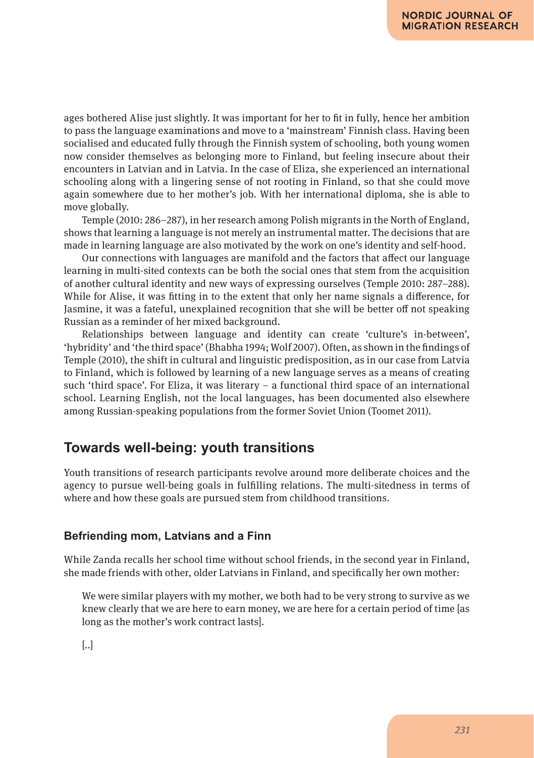ages bothered Alise just slightly. It was important for her to fit in fully, hence her ambition to pass the language examinations and move to a 'mainstream' Finnish class. Having been socialised and educated fully through the Finnish system of schooling, both young women now consider themselves as belonging more to Finland, but feeling insecure about their encounters in Latvian and in Latvia. In the case of Eliza, she experienced an international schooling along with a lingering sense of not rooting in Finland, so that she could move again somewhere due to her mother's job. With her international diploma, she is able to move globally.

Temple (2010: 286–287), in her research among Polish migrants in the North of England, shows that learning a language is not merely an instrumental matter. The decisions that are made in learning language are also motivated by the work on one's identity and self-hood.

Our connections with languages are manifold and the factors that affect our language learning in multi-sited contexts can be both the social ones that stem from the acquisition of another cultural identity and new ways of expressing ourselves (Temple 2010: 287–288). While for Alise, it was fitting in to the extent that only her name signals a difference, for Jasmine, it was a fateful, unexplained recognition that she will be better off not speaking Russian as a reminder of her mixed background.

Relationships between language and identity can create 'culture's in-between', 'hybridity' and 'the third space' (Bhabha 1994; Wolf 2007). Often, as shown in the findings of Temple (2010), the shift in cultural and linguistic predisposition, as in our case from Latvia to Finland, which is followed by learning of a new language serves as a means of creating such 'third space'. For Eliza, it was literary – a functional third space of an international school. Learning English, not the local languages, has been documented also elsewhere among Russian-speaking populations from the former Soviet Union (Toomet 2011).

### **Towards well-being: youth transitions**

Youth transitions of research participants revolve around more deliberate choices and the agency to pursue well-being goals in fulfilling relations. The multi-sitedness in terms of where and how these goals are pursued stem from childhood transitions.

### **Befriending mom, Latvians and a Finn**

While Zanda recalls her school time without school friends, in the second year in Finland, she made friends with other, older Latvians in Finland, and specifically her own mother:

We were similar players with my mother, we both had to be very strong to survive as we knew clearly that we are here to earn money, we are here for a certain period of time [as long as the mother's work contract lasts].

[..]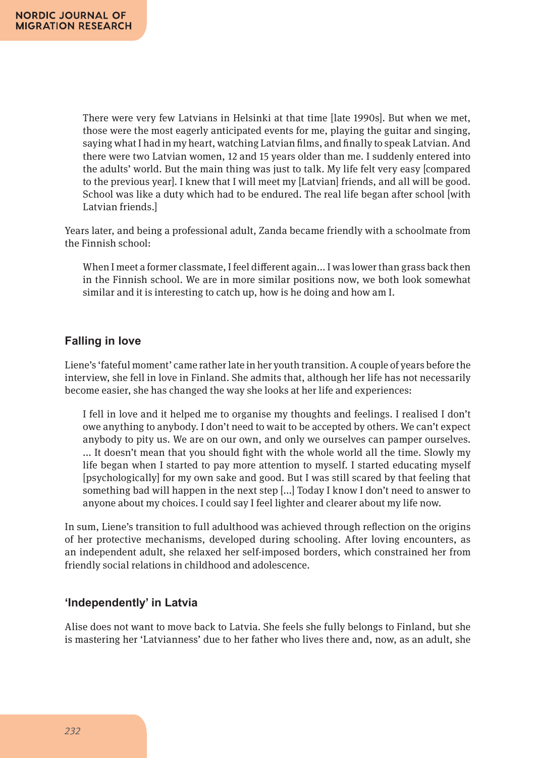There were very few Latvians in Helsinki at that time [late 1990s]. But when we met, those were the most eagerly anticipated events for me, playing the guitar and singing, saying what I had in my heart, watching Latvian films, and finally to speak Latvian. And there were two Latvian women, 12 and 15 years older than me. I suddenly entered into the adults' world. But the main thing was just to talk. My life felt very easy [compared to the previous year]. I knew that I will meet my [Latvian] friends, and all will be good. School was like a duty which had to be endured. The real life began after school [with Latvian friends.]

Years later, and being a professional adult, Zanda became friendly with a schoolmate from the Finnish school:

When I meet a former classmate, I feel different again... I was lower than grass back then in the Finnish school. We are in more similar positions now, we both look somewhat similar and it is interesting to catch up, how is he doing and how am I.

### **Falling in love**

Liene's 'fateful moment' came rather late in her youth transition. A couple of years before the interview, she fell in love in Finland. She admits that, although her life has not necessarily become easier, she has changed the way she looks at her life and experiences:

I fell in love and it helped me to organise my thoughts and feelings. I realised I don't owe anything to anybody. I don't need to wait to be accepted by others. We can't expect anybody to pity us. We are on our own, and only we ourselves can pamper ourselves. ... It doesn't mean that you should fight with the whole world all the time. Slowly my life began when I started to pay more attention to myself. I started educating myself [psychologically] for my own sake and good. But I was still scared by that feeling that something bad will happen in the next step [...] Today I know I don't need to answer to anyone about my choices. I could say I feel lighter and clearer about my life now.

In sum, Liene's transition to full adulthood was achieved through reflection on the origins of her protective mechanisms, developed during schooling. After loving encounters, as an independent adult, she relaxed her self-imposed borders, which constrained her from friendly social relations in childhood and adolescence.

#### **'Independently' in Latvia**

Alise does not want to move back to Latvia. She feels she fully belongs to Finland, but she is mastering her 'Latvianness' due to her father who lives there and, now, as an adult, she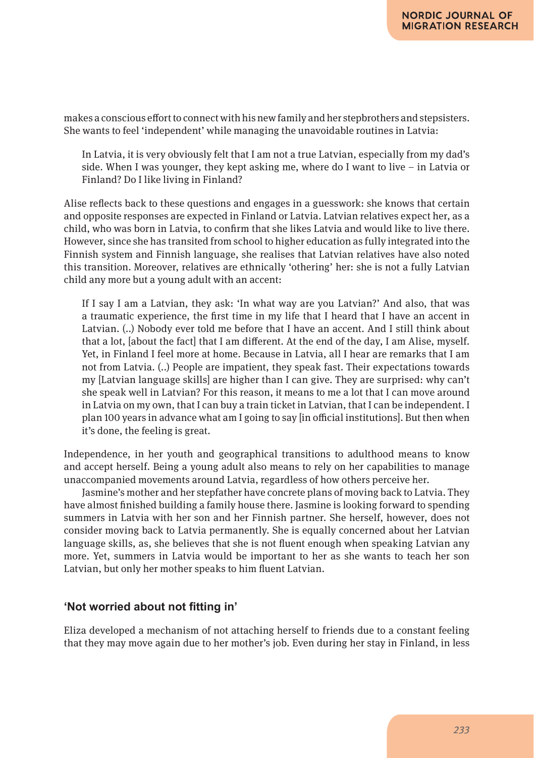makes a conscious effort to connect with his new family and her stepbrothers and stepsisters. She wants to feel 'independent' while managing the unavoidable routines in Latvia:

In Latvia, it is very obviously felt that I am not a true Latvian, especially from my dad's side. When I was younger, they kept asking me, where do I want to live – in Latvia or Finland? Do I like living in Finland?

Alise reflects back to these questions and engages in a guesswork: she knows that certain and opposite responses are expected in Finland or Latvia. Latvian relatives expect her, as a child, who was born in Latvia, to confirm that she likes Latvia and would like to live there. However, since she has transited from school to higher education as fully integrated into the Finnish system and Finnish language, she realises that Latvian relatives have also noted this transition. Moreover, relatives are ethnically 'othering' her: she is not a fully Latvian child any more but a young adult with an accent:

If I say I am a Latvian, they ask: 'In what way are you Latvian?' And also, that was a traumatic experience, the first time in my life that I heard that I have an accent in Latvian. (..) Nobody ever told me before that I have an accent. And I still think about that a lot, [about the fact] that I am different. At the end of the day, I am Alise, myself. Yet, in Finland I feel more at home. Because in Latvia, all I hear are remarks that I am not from Latvia. (..) People are impatient, they speak fast. Their expectations towards my [Latvian language skills] are higher than I can give. They are surprised: why can't she speak well in Latvian? For this reason, it means to me a lot that I can move around in Latvia on my own, that I can buy a train ticket in Latvian, that I can be independent. I plan 100 years in advance what am I going to say [in official institutions]. But then when it's done, the feeling is great.

Independence, in her youth and geographical transitions to adulthood means to know and accept herself. Being a young adult also means to rely on her capabilities to manage unaccompanied movements around Latvia, regardless of how others perceive her.

Jasmine's mother and her stepfather have concrete plans of moving back to Latvia. They have almost finished building a family house there. Jasmine is looking forward to spending summers in Latvia with her son and her Finnish partner. She herself, however, does not consider moving back to Latvia permanently. She is equally concerned about her Latvian language skills, as, she believes that she is not fluent enough when speaking Latvian any more. Yet, summers in Latvia would be important to her as she wants to teach her son Latvian, but only her mother speaks to him fluent Latvian.

#### **'Not worried about not fitting in'**

Eliza developed a mechanism of not attaching herself to friends due to a constant feeling that they may move again due to her mother's job. Even during her stay in Finland, in less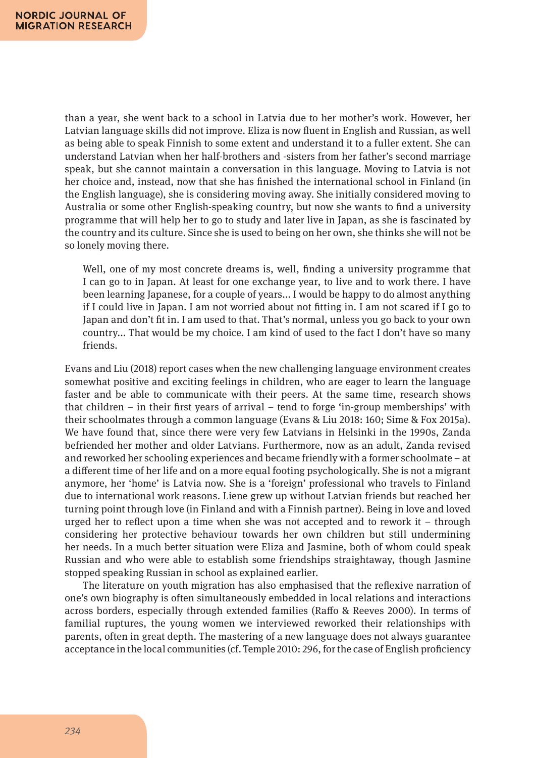than a year, she went back to a school in Latvia due to her mother's work. However, her Latvian language skills did not improve. Eliza is now fluent in English and Russian, as well as being able to speak Finnish to some extent and understand it to a fuller extent. She can understand Latvian when her half-brothers and -sisters from her father's second marriage speak, but she cannot maintain a conversation in this language. Moving to Latvia is not her choice and, instead, now that she has finished the international school in Finland (in the English language), she is considering moving away. She initially considered moving to Australia or some other English-speaking country, but now she wants to find a university programme that will help her to go to study and later live in Japan, as she is fascinated by the country and its culture. Since she is used to being on her own, she thinks she will not be so lonely moving there.

Well, one of my most concrete dreams is, well, finding a university programme that I can go to in Japan. At least for one exchange year, to live and to work there. I have been learning Japanese, for a couple of years... I would be happy to do almost anything if I could live in Japan. I am not worried about not fitting in. I am not scared if I go to Japan and don't fit in. I am used to that. That's normal, unless you go back to your own country... That would be my choice. I am kind of used to the fact I don't have so many friends.

Evans and Liu (2018) report cases when the new challenging language environment creates somewhat positive and exciting feelings in children, who are eager to learn the language faster and be able to communicate with their peers. At the same time, research shows that children – in their first years of arrival – tend to forge 'in-group memberships' with their schoolmates through a common language (Evans & Liu 2018: 160; Sime & Fox 2015a). We have found that, since there were very few Latvians in Helsinki in the 1990s, Zanda befriended her mother and older Latvians. Furthermore, now as an adult, Zanda revised and reworked her schooling experiences and became friendly with a former schoolmate – at a different time of her life and on a more equal footing psychologically. She is not a migrant anymore, her 'home' is Latvia now. She is a 'foreign' professional who travels to Finland due to international work reasons. Liene grew up without Latvian friends but reached her turning point through love (in Finland and with a Finnish partner). Being in love and loved urged her to reflect upon a time when she was not accepted and to rework it – through considering her protective behaviour towards her own children but still undermining her needs. In a much better situation were Eliza and Jasmine, both of whom could speak Russian and who were able to establish some friendships straightaway, though Jasmine stopped speaking Russian in school as explained earlier.

The literature on youth migration has also emphasised that the reflexive narration of one's own biography is often simultaneously embedded in local relations and interactions across borders, especially through extended families (Raffo & Reeves 2000). In terms of familial ruptures, the young women we interviewed reworked their relationships with parents, often in great depth. The mastering of a new language does not always guarantee acceptance in the local communities (cf. Temple 2010: 296, for the case of English proficiency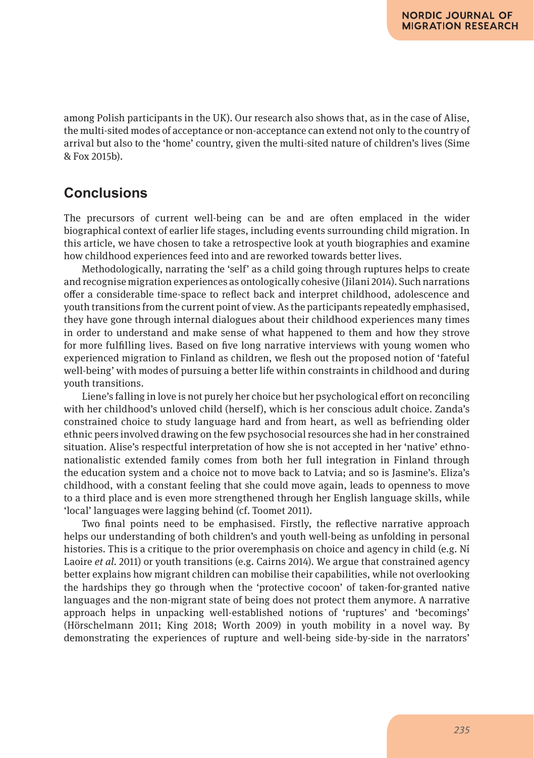among Polish participants in the UK). Our research also shows that, as in the case of Alise, the multi-sited modes of acceptance or non-acceptance can extend not only to the country of arrival but also to the 'home' country, given the multi-sited nature of children's lives (Sime & Fox 2015b).

### **Conclusions**

The precursors of current well-being can be and are often emplaced in the wider biographical context of earlier life stages, including events surrounding child migration. In this article, we have chosen to take a retrospective look at youth biographies and examine how childhood experiences feed into and are reworked towards better lives.

Methodologically, narrating the 'self' as a child going through ruptures helps to create and recognise migration experiences as ontologically cohesive (Jilani 2014). Such narrations offer a considerable time-space to reflect back and interpret childhood, adolescence and youth transitions from the current point of view. As the participants repeatedly emphasised, they have gone through internal dialogues about their childhood experiences many times in order to understand and make sense of what happened to them and how they strove for more fulfilling lives. Based on five long narrative interviews with young women who experienced migration to Finland as children, we flesh out the proposed notion of 'fateful well-being' with modes of pursuing a better life within constraints in childhood and during youth transitions.

Liene's falling in love is not purely her choice but her psychological effort on reconciling with her childhood's unloved child (herself), which is her conscious adult choice. Zanda's constrained choice to study language hard and from heart, as well as befriending older ethnic peers involved drawing on the few psychosocial resources she had in her constrained situation. Alise's respectful interpretation of how she is not accepted in her 'native' ethnonationalistic extended family comes from both her full integration in Finland through the education system and a choice not to move back to Latvia; and so is Jasmine's. Eliza's childhood, with a constant feeling that she could move again, leads to openness to move to a third place and is even more strengthened through her English language skills, while 'local' languages were lagging behind (cf. Toomet 2011).

Two final points need to be emphasised. Firstly, the reflective narrative approach helps our understanding of both children's and youth well-being as unfolding in personal histories. This is a critique to the prior overemphasis on choice and agency in child (e.g. Ni Laoire *et al.* 2011) or youth transitions (e.g. Cairns 2014). We argue that constrained agency better explains how migrant children can mobilise their capabilities, while not overlooking the hardships they go through when the 'protective cocoon' of taken-for-granted native languages and the non-migrant state of being does not protect them anymore. A narrative approach helps in unpacking well-established notions of 'ruptures' and 'becomings' (Hörschelmann 2011; King 2018; Worth 2009) in youth mobility in a novel way. By demonstrating the experiences of rupture and well-being side-by-side in the narrators'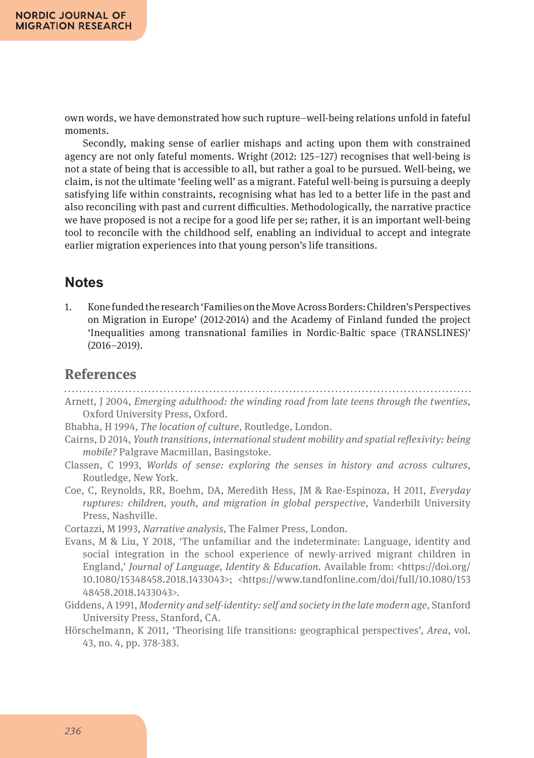own words, we have demonstrated how such rupture–well-being relations unfold in fateful moments.

Secondly, making sense of earlier mishaps and acting upon them with constrained agency are not only fateful moments. Wright (2012: 125–127) recognises that well-being is not a state of being that is accessible to all, but rather a goal to be pursued. Well-being, we claim, is not the ultimate 'feeling well' as a migrant. Fateful well-being is pursuing a deeply satisfying life within constraints, recognising what has led to a better life in the past and also reconciling with past and current difficulties. Methodologically, the narrative practice we have proposed is not a recipe for a good life per se; rather, it is an important well-being tool to reconcile with the childhood self, enabling an individual to accept and integrate earlier migration experiences into that young person's life transitions.

### **Notes**

1. Kone funded the research 'Families on the Move Across Borders: Children's Perspectives on Migration in Europe' (2012-2014) and the Academy of Finland funded the project 'Inequalities among transnational families in Nordic-Baltic space (TRANSLINES)' (2016–2019).

### **References**

- Arnett, J 2004, *Emerging adulthood: the winding road from late teens through the twenties*, Oxford University Press, Oxford.
- Bhabha, H 1994, *The location of culture*, Routledge, London.
- Cairns, D 2014, *Youth transitions, international student mobility and spatial reflexivity: being mobile?* Palgrave Macmillan, Basingstoke.
- Classen, C 1993, *Worlds of sense: exploring the senses in history and across cultures*, Routledge, New York.
- Coe, C, Reynolds, RR, Boehm, DA, Meredith Hess, JM & Rae-Espinoza, H 2011, *Everyday ruptures: children, youth, and migration in global perspective*, Vanderbilt University Press, Nashville.

Cortazzi, M 1993, *Narrative analysis,* The Falmer Press, London.

- Evans, M & Liu, Y 2018, 'The unfamiliar and the indeterminate: Language, identity and social integration in the school experience of newly-arrived migrant children in England,' *Journal of Language, Identity & Education*. Available from: <https://doi.org/ 10.1080/15348458.2018.1433043>; <https://www.tandfonline.com/doi/full/10.1080/153 48458.2018.1433043>.
- Giddens, A 1991, *Modernity and self-identity: self and society in the late modern age*, Stanford University Press, Stanford, CA.
- Hörschelmann, K 2011, 'Theorising life transitions: geographical perspectives', *Area*, vol. 43, no. 4, pp. 378-383.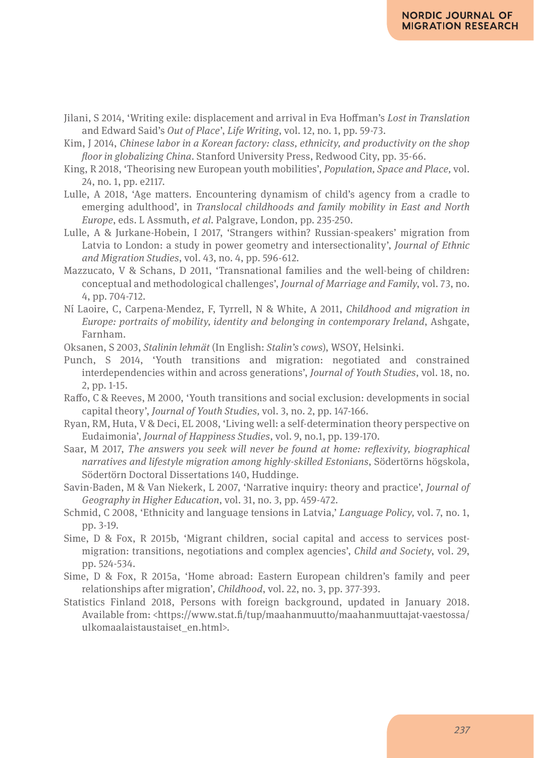- Jilani, S 2014, 'Writing exile: displacement and arrival in Eva Hoffman's *Lost in Translation* and Edward Said's *Out of Place*', *Life Writing*, vol. 12, no. 1, pp. 59-73.
- Kim, J 2014, *Chinese labor in a Korean factory: class, ethnicity, and productivity on the shop floor in globalizing China*. Stanford University Press, Redwood City, pp. 35-66.
- King, R 2018, 'Theorising new European youth mobilities', *Population, Space and Place,* vol. 24, no. 1, pp. e2117.
- Lulle, A 2018, 'Age matters. Encountering dynamism of child's agency from a cradle to emerging adulthood', in *Translocal childhoods and family mobility in East and North Europe*, eds. L Assmuth, *et al*. Palgrave, London, pp. 235-250.
- Lulle, A & Jurkane-Hobein, I 2017, 'Strangers within? Russian-speakers' migration from Latvia to London: a study in power geometry and intersectionality', *Journal of Ethnic and Migration Studies*, vol. 43, no. 4, pp. 596-612.
- Mazzucato, V & Schans, D 2011, 'Transnational families and the well-being of children: conceptual and methodological challenges', *Journal of Marriage and Family*, vol. 73, no. 4, pp. 704-712.
- Ní Laoire, C, Carpena-Mendez, F, Tyrrell, N & White, A 2011, *Childhood and migration in Europe: portraits of mobility, identity and belonging in contemporary Ireland*, Ashgate, Farnham.
- Oksanen, S 2003, *Stalinin lehmät* (In English: *Stalin's cows*), WSOY, Helsinki.
- Punch, S 2014, 'Youth transitions and migration: negotiated and constrained interdependencies within and across generations', *Journal of Youth Studies*, vol. 18, no. 2, pp. 1-15.
- Raffo, C & Reeves, M 2000, 'Youth transitions and social exclusion: developments in social capital theory', *Journal of Youth Studies,* vol. 3, no. 2, pp. 147-166.
- Ryan, RM, Huta, V & Deci, EL 2008, 'Living well: a self-determination theory perspective on Eudaimonia', *Journal of Happiness Studies*, vol. 9, no.1, pp. 139-170.
- Saar, M 2017, *The answers you seek will never be found at home: reflexivity, biographical narratives and lifestyle migration among highly-skilled Estonians*, Södertörns högskola, Södertörn Doctoral Dissertations 140, Huddinge.
- Savin-Baden, M & Van Niekerk, L 2007, 'Narrative inquiry: theory and practice', *Journal of Geography in Higher Education*, vol. 31, no. 3, pp. 459-472.
- Schmid, C 2008, 'Ethnicity and language tensions in Latvia,' *Language Policy,* vol. 7, no. 1, pp. 3-19.
- Sime, D & Fox, R 2015b, 'Migrant children, social capital and access to services postmigration: transitions, negotiations and complex agencies', *Child and Society*, vol. 29, pp. 524-534.
- Sime, D & Fox, R 2015a, 'Home abroad: Eastern European children's family and peer relationships after migration', *Childhood*, vol. 22, no. 3, pp. 377-393.
- Statistics Finland 2018, Persons with foreign background, updated in January 2018. Available from: <https://www.stat.fi/tup/maahanmuutto/maahanmuuttajat-vaestossa/ ulkomaalaistaustaiset\_en.html>.